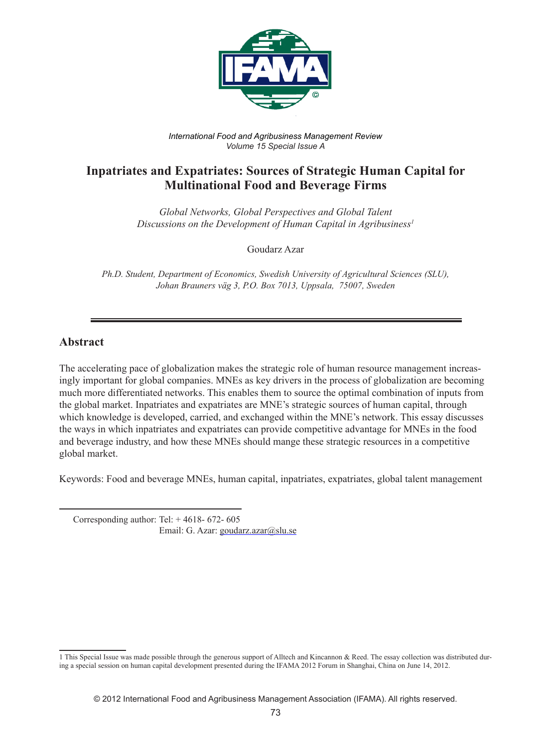

*International Food and Agribusiness Management Review Volume 15 Special Issue A*

# **Inpatriates and Expatriates: Sources of Strategic Human Capital for Multinational Food and Beverage Firms**

*Global Networks, Global Perspectives and Global Talent Discussions on the Development of Human Capital in Agribusiness1*

Goudarz Azar

*Ph.D. Student, Department of Economics, Swedish University of Agricultural Sciences (SLU), Johan Brauners väg 3, P.O. Box 7013, Uppsala, 75007, Sweden*

#### **Abstract**

The accelerating pace of globalization makes the strategic role of human resource management increasingly important for global companies. MNEs as key drivers in the process of globalization are becoming much more differentiated networks. This enables them to source the optimal combination of inputs from the global market. Inpatriates and expatriates are MNE's strategic sources of human capital, through which knowledge is developed, carried, and exchanged within the MNE's network. This essay discusses the ways in which inpatriates and expatriates can provide competitive advantage for MNEs in the food and beverage industry, and how these MNEs should mange these strategic resources in a competitive global market.

Keywords: Food and beverage MNEs, human capital, inpatriates, expatriates, global talent management

 Corresponding author: Tel: + 4618- 672- 605 Email: G. Azar: goudarz.azar@slu.se

<sup>1</sup> This Special Issue was made possible through the generous support of Alltech and Kincannon & Reed. The essay collection was distributed during a special session on human capital development presented during the IFAMA 2012 Forum in Shanghai, China on June 14, 2012.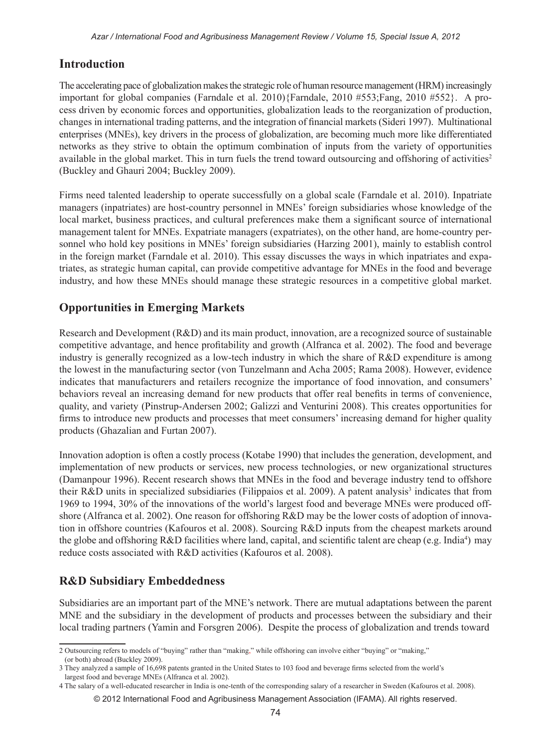## **Introduction**

The accelerating pace of globalization makes the strategic role of human resource management (HRM) increasingly important for global companies (Farndale et al. 2010){Farndale, 2010 #553;Fang, 2010 #552}. A process driven by economic forces and opportunities, globalization leads to the reorganization of production, changes in international trading patterns, and the integration of financial markets (Sideri 1997). Multinational enterprises (MNEs), key drivers in the process of globalization, are becoming much more like differentiated networks as they strive to obtain the optimum combination of inputs from the variety of opportunities available in the global market. This in turn fuels the trend toward outsourcing and offshoring of activities<sup>2</sup> (Buckley and Ghauri 2004; Buckley 2009).

Firms need talented leadership to operate successfully on a global scale (Farndale et al. 2010). Inpatriate managers (inpatriates) are host-country personnel in MNEs' foreign subsidiaries whose knowledge of the local market, business practices, and cultural preferences make them a significant source of international management talent for MNEs. Expatriate managers (expatriates), on the other hand, are home-country personnel who hold key positions in MNEs' foreign subsidiaries (Harzing 2001), mainly to establish control in the foreign market (Farndale et al. 2010). This essay discusses the ways in which inpatriates and expatriates, as strategic human capital, can provide competitive advantage for MNEs in the food and beverage industry, and how these MNEs should manage these strategic resources in a competitive global market.

# **Opportunities in Emerging Markets**

Research and Development (R&D) and its main product, innovation, are a recognized source of sustainable competitive advantage, and hence profitability and growth (Alfranca et al. 2002). The food and beverage industry is generally recognized as a low-tech industry in which the share of R&D expenditure is among the lowest in the manufacturing sector (von Tunzelmann and Acha 2005; Rama 2008). However, evidence indicates that manufacturers and retailers recognize the importance of food innovation, and consumers' behaviors reveal an increasing demand for new products that offer real benefits in terms of convenience, quality, and variety (Pinstrup-Andersen 2002; Galizzi and Venturini 2008). This creates opportunities for firms to introduce new products and processes that meet consumers' increasing demand for higher quality products (Ghazalian and Furtan 2007).

Innovation adoption is often a costly process (Kotabe 1990) that includes the generation, development, and implementation of new products or services, new process technologies, or new organizational structures (Damanpour 1996). Recent research shows that MNEs in the food and beverage industry tend to offshore their R&D units in specialized subsidiaries (Filippaios et al. 2009). A patent analysis<sup>3</sup> indicates that from 1969 to 1994, 30% of the innovations of the world's largest food and beverage MNEs were produced offshore (Alfranca et al. 2002). One reason for offshoring R&D may be the lower costs of adoption of innovation in offshore countries (Kafouros et al. 2008). Sourcing R&D inputs from the cheapest markets around the globe and offshoring R&D facilities where land, capital, and scientific talent are cheap (e.g. India<sup>4</sup>) may reduce costs associated with R&D activities (Kafouros et al. 2008).

## **R&D Subsidiary Embeddedness**

Subsidiaries are an important part of the MNE's network. There are mutual adaptations between the parent MNE and the subsidiary in the development of products and processes between the subsidiary and their local trading partners (Yamin and Forsgren 2006). Despite the process of globalization and trends toward

<sup>2</sup> Outsourcing refers to models of "buying" rather than "making," while offshoring can involve either "buying" or "making," (or both) abroad (Buckley 2009).

<sup>3</sup> They analyzed a sample of 16,698 patents granted in the United States to 103 food and beverage firms selected from the world's largest food and beverage MNEs (Alfranca et al. 2002).

<sup>4</sup> The salary of a well-educated researcher in India is one-tenth of the corresponding salary of a researcher in Sweden (Kafouros et al. 2008).

<sup>© 2012</sup> International Food and Agribusiness Management Association (IFAMA). All rights reserved.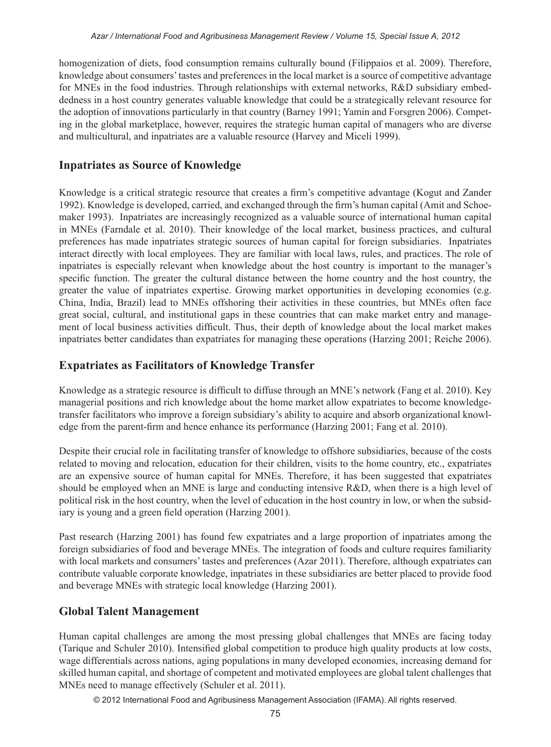homogenization of diets, food consumption remains culturally bound (Filippaios et al. 2009). Therefore, knowledge about consumers' tastes and preferences in the local market is a source of competitive advantage for MNEs in the food industries. Through relationships with external networks, R&D subsidiary embeddedness in a host country generates valuable knowledge that could be a strategically relevant resource for the adoption of innovations particularly in that country (Barney 1991; Yamin and Forsgren 2006). Competing in the global marketplace, however, requires the strategic human capital of managers who are diverse and multicultural, and inpatriates are a valuable resource (Harvey and Miceli 1999).

### **Inpatriates as Source of Knowledge**

Knowledge is a critical strategic resource that creates a firm's competitive advantage (Kogut and Zander 1992). Knowledge is developed, carried, and exchanged through the firm's human capital (Amit and Schoemaker 1993). Inpatriates are increasingly recognized as a valuable source of international human capital in MNEs (Farndale et al. 2010). Their knowledge of the local market, business practices, and cultural preferences has made inpatriates strategic sources of human capital for foreign subsidiaries. Inpatriates interact directly with local employees. They are familiar with local laws, rules, and practices. The role of inpatriates is especially relevant when knowledge about the host country is important to the manager's specific function. The greater the cultural distance between the home country and the host country, the greater the value of inpatriates expertise. Growing market opportunities in developing economies (e.g. China, India, Brazil) lead to MNEs offshoring their activities in these countries, but MNEs often face great social, cultural, and institutional gaps in these countries that can make market entry and management of local business activities difficult. Thus, their depth of knowledge about the local market makes inpatriates better candidates than expatriates for managing these operations (Harzing 2001; Reiche 2006).

### **Expatriates as Facilitators of Knowledge Transfer**

Knowledge as a strategic resource is difficult to diffuse through an MNE's network (Fang et al. 2010). Key managerial positions and rich knowledge about the home market allow expatriates to become knowledgetransfer facilitators who improve a foreign subsidiary's ability to acquire and absorb organizational knowledge from the parent-firm and hence enhance its performance (Harzing 2001; Fang et al. 2010).

Despite their crucial role in facilitating transfer of knowledge to offshore subsidiaries, because of the costs related to moving and relocation, education for their children, visits to the home country, etc., expatriates are an expensive source of human capital for MNEs. Therefore, it has been suggested that expatriates should be employed when an MNE is large and conducting intensive R&D, when there is a high level of political risk in the host country, when the level of education in the host country in low, or when the subsidiary is young and a green field operation (Harzing 2001).

Past research (Harzing 2001) has found few expatriates and a large proportion of inpatriates among the foreign subsidiaries of food and beverage MNEs. The integration of foods and culture requires familiarity with local markets and consumers' tastes and preferences (Azar 2011). Therefore, although expatriates can contribute valuable corporate knowledge, inpatriates in these subsidiaries are better placed to provide food and beverage MNEs with strategic local knowledge (Harzing 2001).

## **Global Talent Management**

Human capital challenges are among the most pressing global challenges that MNEs are facing today (Tarique and Schuler 2010). Intensified global competition to produce high quality products at low costs, wage differentials across nations, aging populations in many developed economies, increasing demand for skilled human capital, and shortage of competent and motivated employees are global talent challenges that MNEs need to manage effectively (Schuler et al. 2011).

© 2012 International Food and Agribusiness Management Association (IFAMA). All rights reserved.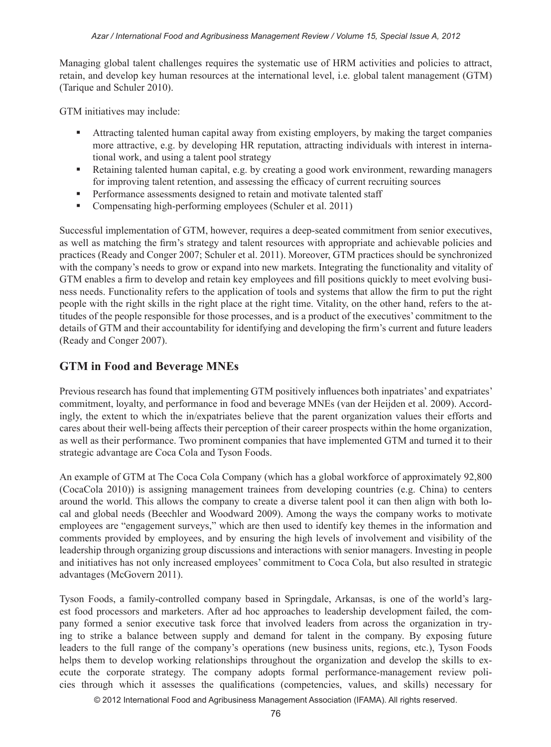Managing global talent challenges requires the systematic use of HRM activities and policies to attract, retain, and develop key human resources at the international level, i.e. global talent management (GTM) (Tarique and Schuler 2010).

GTM initiatives may include:

- Attracting talented human capital away from existing employers, by making the target companies more attractive, e.g. by developing HR reputation, attracting individuals with interest in international work, and using a talent pool strategy
- Retaining talented human capital, e.g. by creating a good work environment, rewarding managers for improving talent retention, and assessing the efficacy of current recruiting sources
- **Performance assessments designed to retain and motivate talented staff**
- Compensating high-performing employees (Schuler et al. 2011)

Successful implementation of GTM, however, requires a deep-seated commitment from senior executives, as well as matching the firm's strategy and talent resources with appropriate and achievable policies and practices (Ready and Conger 2007; Schuler et al. 2011). Moreover, GTM practices should be synchronized with the company's needs to grow or expand into new markets. Integrating the functionality and vitality of GTM enables a firm to develop and retain key employees and fill positions quickly to meet evolving business needs. Functionality refers to the application of tools and systems that allow the firm to put the right people with the right skills in the right place at the right time. Vitality, on the other hand, refers to the attitudes of the people responsible for those processes, and is a product of the executives' commitment to the details of GTM and their accountability for identifying and developing the firm's current and future leaders (Ready and Conger 2007).

#### **GTM in Food and Beverage MNEs**

Previous research has found that implementing GTM positively influences both inpatriates' and expatriates' commitment, loyalty, and performance in food and beverage MNEs (van der Heijden et al. 2009). Accordingly, the extent to which the in/expatriates believe that the parent organization values their efforts and cares about their well-being affects their perception of their career prospects within the home organization, as well as their performance. Two prominent companies that have implemented GTM and turned it to their strategic advantage are Coca Cola and Tyson Foods.

An example of GTM at The Coca Cola Company (which has a global workforce of approximately 92,800 (CocaCola 2010)) is assigning management trainees from developing countries (e.g. China) to centers around the world. This allows the company to create a diverse talent pool it can then align with both local and global needs (Beechler and Woodward 2009). Among the ways the company works to motivate employees are "engagement surveys," which are then used to identify key themes in the information and comments provided by employees, and by ensuring the high levels of involvement and visibility of the leadership through organizing group discussions and interactions with senior managers. Investing in people and initiatives has not only increased employees' commitment to Coca Cola, but also resulted in strategic advantages (McGovern 2011).

Tyson Foods, a family-controlled company based in Springdale, Arkansas, is one of the world's largest food processors and marketers. After ad hoc approaches to leadership development failed, the company formed a senior executive task force that involved leaders from across the organization in trying to strike a balance between supply and demand for talent in the company. By exposing future leaders to the full range of the company's operations (new business units, regions, etc.), Tyson Foods helps them to develop working relationships throughout the organization and develop the skills to execute the corporate strategy. The company adopts formal performance-management review policies through which it assesses the qualifications (competencies, values, and skills) necessary for

© 2012 International Food and Agribusiness Management Association (IFAMA). All rights reserved.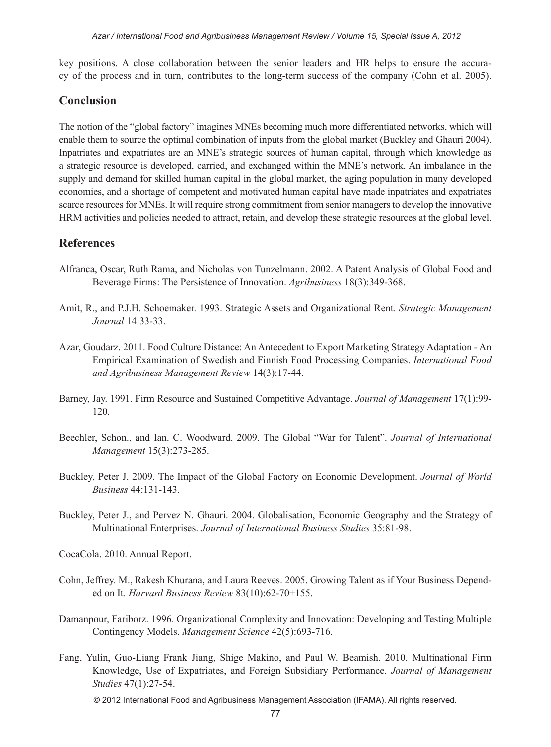key positions. A close collaboration between the senior leaders and HR helps to ensure the accuracy of the process and in turn, contributes to the long-term success of the company (Cohn et al. 2005).

#### **Conclusion**

The notion of the "global factory" imagines MNEs becoming much more differentiated networks, which will enable them to source the optimal combination of inputs from the global market (Buckley and Ghauri 2004). Inpatriates and expatriates are an MNE's strategic sources of human capital, through which knowledge as a strategic resource is developed, carried, and exchanged within the MNE's network. An imbalance in the supply and demand for skilled human capital in the global market, the aging population in many developed economies, and a shortage of competent and motivated human capital have made inpatriates and expatriates scarce resources for MNEs. It will require strong commitment from senior managers to develop the innovative HRM activities and policies needed to attract, retain, and develop these strategic resources at the global level.

#### **References**

- Alfranca, Oscar, Ruth Rama, and Nicholas von Tunzelmann. 2002. A Patent Analysis of Global Food and Beverage Firms: The Persistence of Innovation. *Agribusiness* 18(3):349-368.
- Amit, R., and P.J.H. Schoemaker. 1993. Strategic Assets and Organizational Rent. *Strategic Management Journal* 14:33-33.
- Azar, Goudarz. 2011. Food Culture Distance: An Antecedent to Export Marketing Strategy Adaptation An Empirical Examination of Swedish and Finnish Food Processing Companies. *International Food and Agribusiness Management Review* 14(3):17-44.
- Barney, Jay. 1991. Firm Resource and Sustained Competitive Advantage. *Journal of Management* 17(1):99- 120.
- Beechler, Schon., and Ian. C. Woodward. 2009. The Global "War for Talent". *Journal of International Management* 15(3):273-285.
- Buckley, Peter J. 2009. The Impact of the Global Factory on Economic Development. *Journal of World Business* 44:131-143.
- Buckley, Peter J., and Pervez N. Ghauri. 2004. Globalisation, Economic Geography and the Strategy of Multinational Enterprises. *Journal of International Business Studies* 35:81-98.

CocaCola. 2010. Annual Report.

- Cohn, Jeffrey. M., Rakesh Khurana, and Laura Reeves. 2005. Growing Talent as if Your Business Depended on It. *Harvard Business Review* 83(10):62-70+155.
- Damanpour, Fariborz. 1996. Organizational Complexity and Innovation: Developing and Testing Multiple Contingency Models. *Management Science* 42(5):693-716.
- Fang, Yulin, Guo-Liang Frank Jiang, Shige Makino, and Paul W. Beamish. 2010. Multinational Firm Knowledge, Use of Expatriates, and Foreign Subsidiary Performance. *Journal of Management Studies* 47(1):27-54.

© 2012 International Food and Agribusiness Management Association (IFAMA). All rights reserved.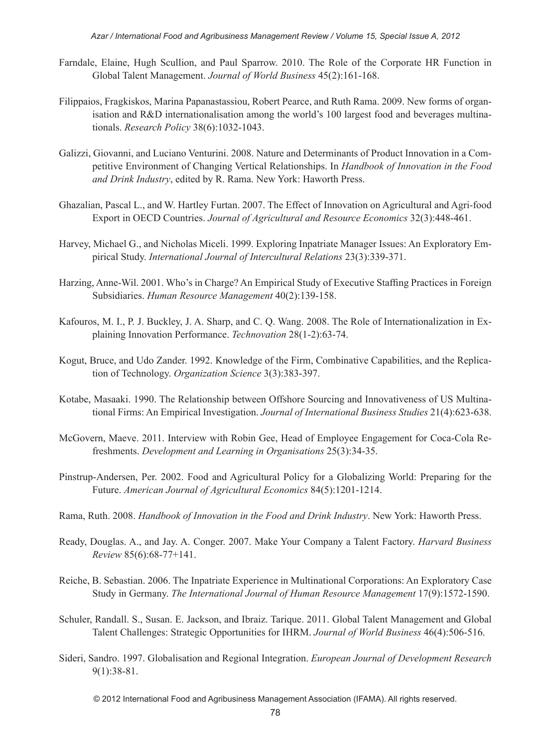- Farndale, Elaine, Hugh Scullion, and Paul Sparrow. 2010. The Role of the Corporate HR Function in Global Talent Management. *Journal of World Business* 45(2):161-168.
- Filippaios, Fragkiskos, Marina Papanastassiou, Robert Pearce, and Ruth Rama. 2009. New forms of organisation and R&D internationalisation among the world's 100 largest food and beverages multinationals. *Research Policy* 38(6):1032-1043.
- Galizzi, Giovanni, and Luciano Venturini. 2008. Nature and Determinants of Product Innovation in a Competitive Environment of Changing Vertical Relationships. In *Handbook of Innovation in the Food and Drink Industry*, edited by R. Rama. New York: Haworth Press.
- Ghazalian, Pascal L., and W. Hartley Furtan. 2007. The Effect of Innovation on Agricultural and Agri-food Export in OECD Countries. *Journal of Agricultural and Resource Economics* 32(3):448-461.
- Harvey, Michael G., and Nicholas Miceli. 1999. Exploring Inpatriate Manager Issues: An Exploratory Empirical Study. *International Journal of Intercultural Relations* 23(3):339-371.
- Harzing, Anne-Wil. 2001. Who's in Charge? An Empirical Study of Executive Staffing Practices in Foreign Subsidiaries. *Human Resource Management* 40(2):139-158.
- Kafouros, M. I., P. J. Buckley, J. A. Sharp, and C. Q. Wang. 2008. The Role of Internationalization in Explaining Innovation Performance. *Technovation* 28(1-2):63-74.
- Kogut, Bruce, and Udo Zander. 1992. Knowledge of the Firm, Combinative Capabilities, and the Replication of Technology. *Organization Science* 3(3):383-397.
- Kotabe, Masaaki. 1990. The Relationship between Offshore Sourcing and Innovativeness of US Multinational Firms: An Empirical Investigation. *Journal of International Business Studies* 21(4):623-638.
- McGovern, Maeve. 2011. Interview with Robin Gee, Head of Employee Engagement for Coca-Cola Refreshments. *Development and Learning in Organisations* 25(3):34-35.
- Pinstrup-Andersen, Per. 2002. Food and Agricultural Policy for a Globalizing World: Preparing for the Future. *American Journal of Agricultural Economics* 84(5):1201-1214.
- Rama, Ruth. 2008. *Handbook of Innovation in the Food and Drink Industry*. New York: Haworth Press.
- Ready, Douglas. A., and Jay. A. Conger. 2007. Make Your Company a Talent Factory. *Harvard Business Review* 85(6):68-77+141.
- Reiche, B. Sebastian. 2006. The Inpatriate Experience in Multinational Corporations: An Exploratory Case Study in Germany. *The International Journal of Human Resource Management* 17(9):1572-1590.
- Schuler, Randall. S., Susan. E. Jackson, and Ibraiz. Tarique. 2011. Global Talent Management and Global Talent Challenges: Strategic Opportunities for IHRM. *Journal of World Business* 46(4):506-516.
- Sideri, Sandro. 1997. Globalisation and Regional Integration. *European Journal of Development Research* 9(1):38-81.

© 2012 International Food and Agribusiness Management Association (IFAMA). All rights reserved.